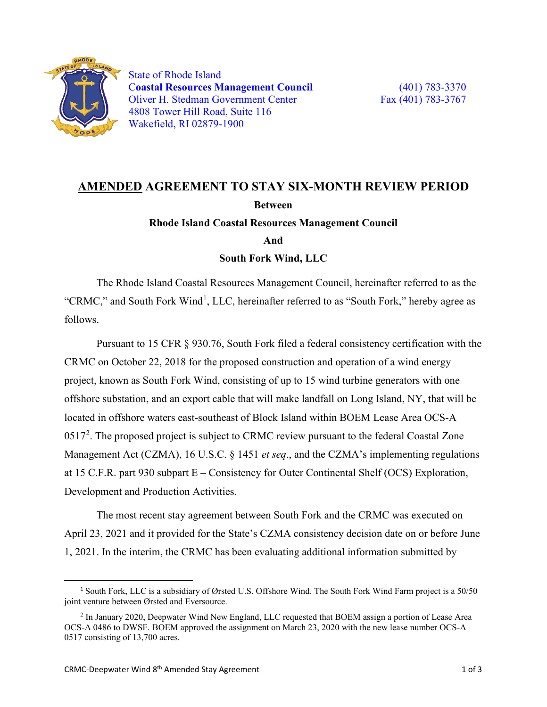

State of Rhode Island C**oastal Resources Management Council** (401) 783-3370 Oliver H. Stedman Government Center Fax (401) 783-3767 4808 Tower Hill Road, Suite 116 Wakefield, RI 02879-1900

## **AMENDED AGREEMENT TO STAY SIX-MONTH REVIEW PERIOD Between Rhode Island Coastal Resources Management Council**

**And**

**South Fork Wind, LLC**

The Rhode Island Coastal Resources Management Council, hereinafter referred to as the "CRMC," and South Fork Wind<sup>[1](#page-0-0)</sup>, LLC, hereinafter referred to as "South Fork," hereby agree as follows.

Pursuant to 15 CFR § 930.76, South Fork filed a federal consistency certification with the CRMC on October 22, 2018 for the proposed construction and operation of a wind energy project, known as South Fork Wind, consisting of up to 15 wind turbine generators with one offshore substation, and an export cable that will make landfall on Long Island, NY, that will be located in offshore waters east-southeast of Block Island within BOEM Lease Area OCS-A  $0517<sup>2</sup>$  $0517<sup>2</sup>$  $0517<sup>2</sup>$ . The proposed project is subject to CRMC review pursuant to the federal Coastal Zone Management Act (CZMA), 16 U.S.C. § 1451 *et seq*., and the CZMA's implementing regulations at 15 C.F.R. part 930 subpart E – Consistency for Outer Continental Shelf (OCS) Exploration, Development and Production Activities.

The most recent stay agreement between South Fork and the CRMC was executed on April 23, 2021 and it provided for the State's CZMA consistency decision date on or before June 1, 2021. In the interim, the CRMC has been evaluating additional information submitted by

<span id="page-0-0"></span> <sup>1</sup> South Fork, LLC is a subsidiary of Ørsted U.S. Offshore Wind. The South Fork Wind Farm project is a 50/50 joint venture between Ørsted and Eversource.

<span id="page-0-1"></span><sup>2</sup> In January 2020, Deepwater Wind New England, LLC requested that BOEM assign a portion of Lease Area OCS-A 0486 to DWSF. BOEM approved the assignment on March 23, 2020 with the new lease number OCS-A 0517 consisting of 13,700 acres.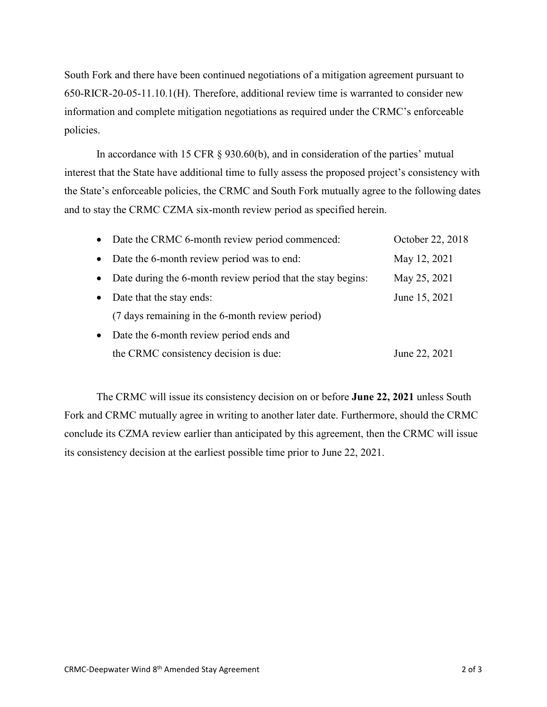South Fork and there have been continued negotiations of a mitigation agreement pursuant to 650-RICR-20-05-11.10.1(H). Therefore, additional review time is warranted to consider new information and complete mitigation negotiations as required under the CRMC's enforceable policies.

In accordance with 15 CFR § 930.60(b), and in consideration of the parties' mutual interest that the State have additional time to fully assess the proposed project's consistency with the State's enforceable policies, the CRMC and South Fork mutually agree to the following dates and to stay the CRMC CZMA six-month review period as specified herein.

|           | • Date the CRMC 6-month review period commenced:            | October 22, 2018 |
|-----------|-------------------------------------------------------------|------------------|
| $\bullet$ | Date the 6-month review period was to end:                  | May 12, 2021     |
| $\bullet$ | Date during the 6-month review period that the stay begins: | May 25, 2021     |
| $\bullet$ | Date that the stay ends:                                    | June 15, 2021    |
|           | (7 days remaining in the 6-month review period)             |                  |
| $\bullet$ | Date the 6-month review period ends and                     |                  |
|           | the CRMC consistency decision is due:                       | June 22, 2021    |

The CRMC will issue its consistency decision on or before **June 22, 2021** unless South Fork and CRMC mutually agree in writing to another later date. Furthermore, should the CRMC conclude its CZMA review earlier than anticipated by this agreement, then the CRMC will issue its consistency decision at the earliest possible time prior to June 22, 2021.